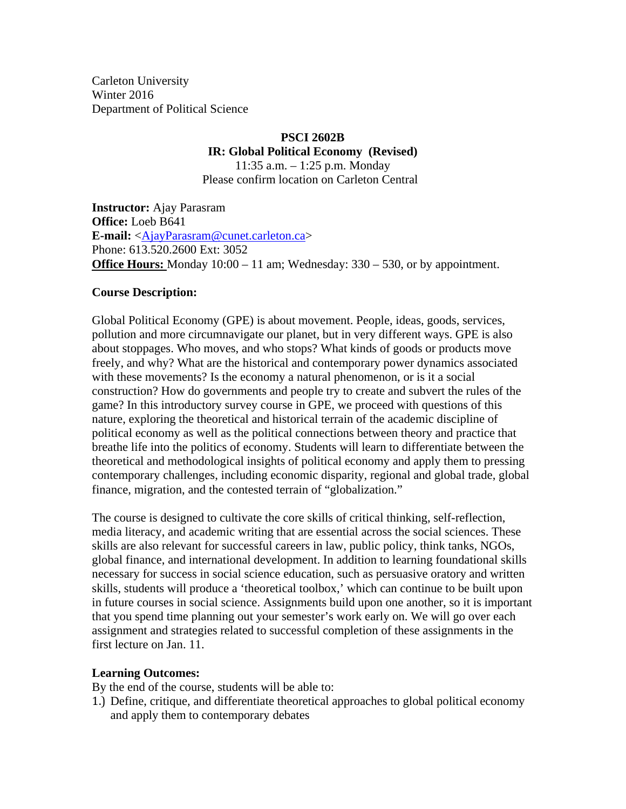Carleton University Winter 2016 Department of Political Science

#### **PSCI 2602B IR: Global Political Economy (Revised)**  11:35 a.m. – 1:25 p.m. Monday Please confirm location on Carleton Central

**Instructor:** Ajay Parasram **Office:** Loeb B641 **E-mail:** <AjayParasram@cunet.carleton.ca> Phone: 613.520.2600 Ext: 3052 **Office Hours:** Monday 10:00 – 11 am; Wednesday: 330 – 530, or by appointment.

#### **Course Description:**

Global Political Economy (GPE) is about movement. People, ideas, goods, services, pollution and more circumnavigate our planet, but in very different ways. GPE is also about stoppages. Who moves, and who stops? What kinds of goods or products move freely, and why? What are the historical and contemporary power dynamics associated with these movements? Is the economy a natural phenomenon, or is it a social construction? How do governments and people try to create and subvert the rules of the game? In this introductory survey course in GPE, we proceed with questions of this nature, exploring the theoretical and historical terrain of the academic discipline of political economy as well as the political connections between theory and practice that breathe life into the politics of economy. Students will learn to differentiate between the theoretical and methodological insights of political economy and apply them to pressing contemporary challenges, including economic disparity, regional and global trade, global finance, migration, and the contested terrain of "globalization."

The course is designed to cultivate the core skills of critical thinking, self-reflection, media literacy, and academic writing that are essential across the social sciences. These skills are also relevant for successful careers in law, public policy, think tanks, NGOs, global finance, and international development. In addition to learning foundational skills necessary for success in social science education, such as persuasive oratory and written skills, students will produce a 'theoretical toolbox,' which can continue to be built upon in future courses in social science. Assignments build upon one another, so it is important that you spend time planning out your semester's work early on. We will go over each assignment and strategies related to successful completion of these assignments in the first lecture on Jan. 11.

## **Learning Outcomes:**

By the end of the course, students will be able to:

1.) Define, critique, and differentiate theoretical approaches to global political economy and apply them to contemporary debates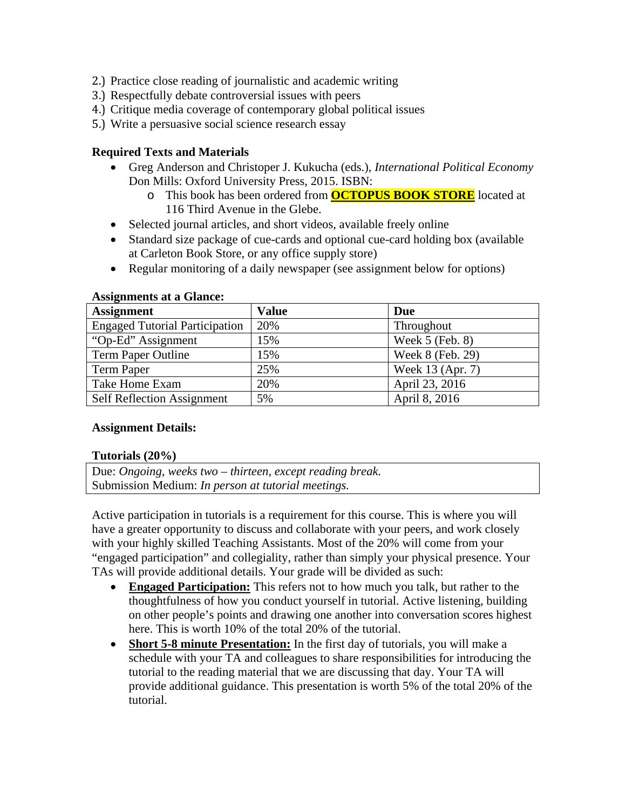- 2.) Practice close reading of journalistic and academic writing
- 3.) Respectfully debate controversial issues with peers
- 4.) Critique media coverage of contemporary global political issues
- 5.) Write a persuasive social science research essay

#### **Required Texts and Materials**

- Greg Anderson and Christoper J. Kukucha (eds.), *International Political Economy* Don Mills: Oxford University Press, 2015. ISBN:
	- o This book has been ordered from **OCTOPUS BOOK STORE** located at 116 Third Avenue in the Glebe.
- Selected journal articles, and short videos, available freely online
- Standard size package of cue-cards and optional cue-card holding box (available at Carleton Book Store, or any office supply store)
- Regular monitoring of a daily newspaper (see assignment below for options)

| <b>Assignment</b>                     | <b>Value</b> | Due               |
|---------------------------------------|--------------|-------------------|
| <b>Engaged Tutorial Participation</b> | 20%          | Throughout        |
| "Op-Ed" Assignment                    | 15%          | Week $5$ (Feb. 8) |
| Term Paper Outline                    | 15%          | Week 8 (Feb. 29)  |
| Term Paper                            | 25%          | Week 13 (Apr. 7)  |
| Take Home Exam                        | 20%          | April 23, 2016    |
| <b>Self Reflection Assignment</b>     | 5%           | April 8, 2016     |

#### **Assignments at a Glance:**

#### **Assignment Details:**

#### **Tutorials (20%)**

Due: *Ongoing, weeks two – thirteen, except reading break.*  Submission Medium: *In person at tutorial meetings.* 

Active participation in tutorials is a requirement for this course. This is where you will have a greater opportunity to discuss and collaborate with your peers, and work closely with your highly skilled Teaching Assistants. Most of the 20% will come from your "engaged participation" and collegiality, rather than simply your physical presence. Your TAs will provide additional details. Your grade will be divided as such:

- **Engaged Participation:** This refers not to how much you talk, but rather to the thoughtfulness of how you conduct yourself in tutorial. Active listening, building on other people's points and drawing one another into conversation scores highest here. This is worth 10% of the total 20% of the tutorial.
- **Short 5-8 minute Presentation:** In the first day of tutorials, you will make a schedule with your TA and colleagues to share responsibilities for introducing the tutorial to the reading material that we are discussing that day. Your TA will provide additional guidance. This presentation is worth 5% of the total 20% of the tutorial.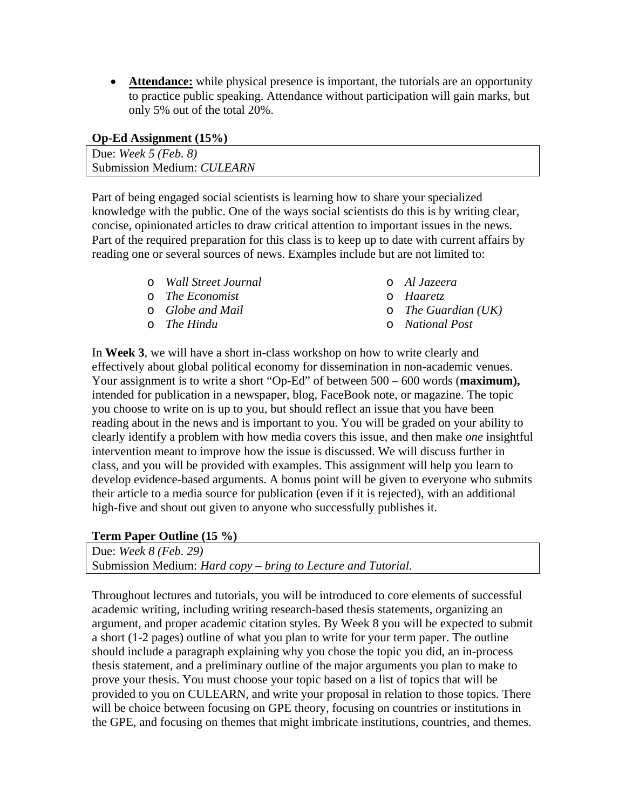**Attendance:** while physical presence is important, the tutorials are an opportunity to practice public speaking. Attendance without participation will gain marks, but only 5% out of the total 20%.

| Due: Week $5$ (Feb. 8)     |
|----------------------------|
| Submission Medium: CULEARN |

Part of being engaged social scientists is learning how to share your specialized knowledge with the public. One of the ways social scientists do this is by writing clear, concise, opinionated articles to draw critical attention to important issues in the news. Part of the required preparation for this class is to keep up to date with current affairs by reading one or several sources of news. Examples include but are not limited to:

- o *Wall Street Journal*
- o *The Economist*
- o *Globe and Mail*
- o *The Hindu*
- o *Al Jazeera*
- o *Haaretz*
- o *The Guardian (UK)*
- o *National Post*

In **Week 3**, we will have a short in-class workshop on how to write clearly and effectively about global political economy for dissemination in non-academic venues. Your assignment is to write a short "Op-Ed" of between 500 – 600 words (**maximum),**  intended for publication in a newspaper, blog, FaceBook note, or magazine. The topic you choose to write on is up to you, but should reflect an issue that you have been reading about in the news and is important to you. You will be graded on your ability to clearly identify a problem with how media covers this issue, and then make *one* insightful intervention meant to improve how the issue is discussed. We will discuss further in class, and you will be provided with examples. This assignment will help you learn to develop evidence-based arguments. A bonus point will be given to everyone who submits their article to a media source for publication (even if it is rejected), with an additional high-five and shout out given to anyone who successfully publishes it.

## **Term Paper Outline (15 %)**

Due: *Week 8 (Feb. 29)*  Submission Medium: *Hard copy – bring to Lecture and Tutorial.* 

Throughout lectures and tutorials, you will be introduced to core elements of successful academic writing, including writing research-based thesis statements, organizing an argument, and proper academic citation styles. By Week 8 you will be expected to submit a short (1-2 pages) outline of what you plan to write for your term paper. The outline should include a paragraph explaining why you chose the topic you did, an in-process thesis statement, and a preliminary outline of the major arguments you plan to make to prove your thesis. You must choose your topic based on a list of topics that will be provided to you on CULEARN, and write your proposal in relation to those topics. There will be choice between focusing on GPE theory, focusing on countries or institutions in the GPE, and focusing on themes that might imbricate institutions, countries, and themes.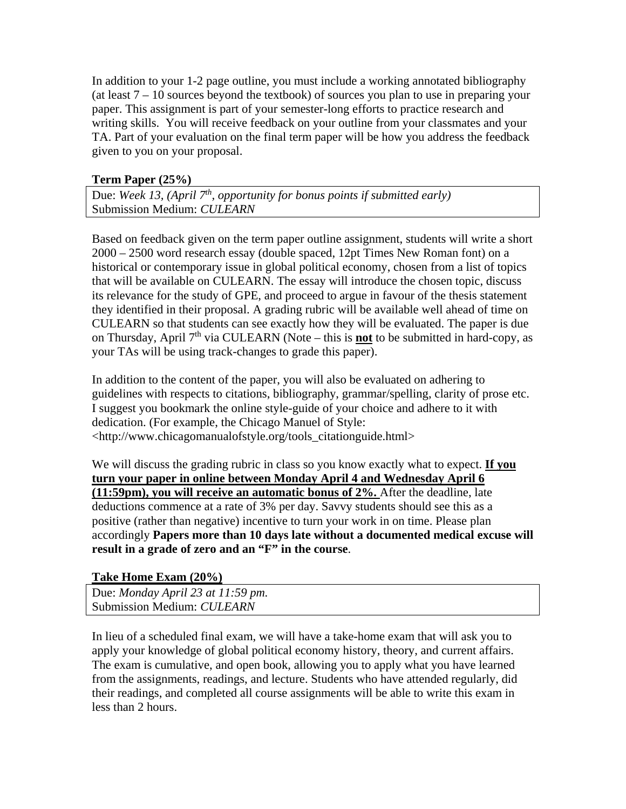In addition to your 1-2 page outline, you must include a working annotated bibliography (at least 7 – 10 sources beyond the textbook) of sources you plan to use in preparing your paper. This assignment is part of your semester-long efforts to practice research and writing skills. You will receive feedback on your outline from your classmates and your TA. Part of your evaluation on the final term paper will be how you address the feedback given to you on your proposal.

## **Term Paper (25%)**

Due: Week 13, (April 7<sup>th</sup>, opportunity for bonus points if submitted early) Submission Medium: *CULEARN* 

Based on feedback given on the term paper outline assignment, students will write a short 2000 – 2500 word research essay (double spaced, 12pt Times New Roman font) on a historical or contemporary issue in global political economy, chosen from a list of topics that will be available on CULEARN. The essay will introduce the chosen topic, discuss its relevance for the study of GPE, and proceed to argue in favour of the thesis statement they identified in their proposal. A grading rubric will be available well ahead of time on CULEARN so that students can see exactly how they will be evaluated. The paper is due on Thursday, April  $7<sup>th</sup>$  via CULEARN (Note – this is **not** to be submitted in hard-copy, as your TAs will be using track-changes to grade this paper).

In addition to the content of the paper, you will also be evaluated on adhering to guidelines with respects to citations, bibliography, grammar/spelling, clarity of prose etc. I suggest you bookmark the online style-guide of your choice and adhere to it with dedication. (For example, the Chicago Manuel of Style: <http://www.chicagomanualofstyle.org/tools\_citationguide.html>

We will discuss the grading rubric in class so you know exactly what to expect. **If you turn your paper in online between Monday April 4 and Wednesday April 6 (11:59pm), you will receive an automatic bonus of 2%.** After the deadline, late deductions commence at a rate of 3% per day. Savvy students should see this as a positive (rather than negative) incentive to turn your work in on time. Please plan accordingly **Papers more than 10 days late without a documented medical excuse will result in a grade of zero and an "F" in the course**.

## **Take Home Exam (20%)**

Due: *Monday April 23 at 11:59 pm.*  Submission Medium: *CULEARN* 

In lieu of a scheduled final exam, we will have a take-home exam that will ask you to apply your knowledge of global political economy history, theory, and current affairs. The exam is cumulative, and open book, allowing you to apply what you have learned from the assignments, readings, and lecture. Students who have attended regularly, did their readings, and completed all course assignments will be able to write this exam in less than 2 hours.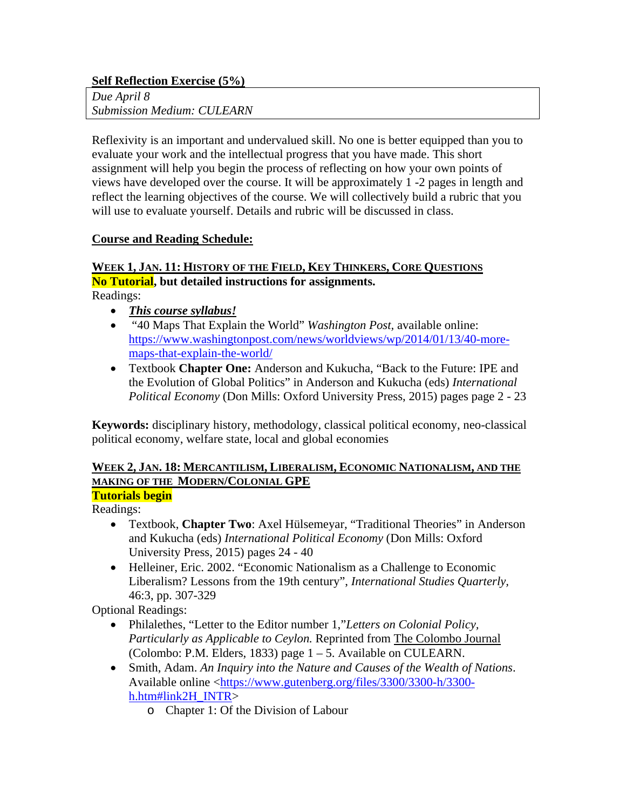## **Self Reflection Exercise (5%)**

*Due April 8 Submission Medium: CULEARN* 

Reflexivity is an important and undervalued skill. No one is better equipped than you to evaluate your work and the intellectual progress that you have made. This short assignment will help you begin the process of reflecting on how your own points of views have developed over the course. It will be approximately 1 -2 pages in length and reflect the learning objectives of the course. We will collectively build a rubric that you will use to evaluate yourself. Details and rubric will be discussed in class.

## **Course and Reading Schedule:**

## **WEEK 1, JAN. 11: HISTORY OF THE FIELD, KEY THINKERS, CORE QUESTIONS No Tutorial, but detailed instructions for assignments.**

Readings:

- *This course syllabus!*
- "40 Maps That Explain the World" *Washington Post,* available online: https://www.washingtonpost.com/news/worldviews/wp/2014/01/13/40-moremaps-that-explain-the-world/
- Textbook **Chapter One:** Anderson and Kukucha, "Back to the Future: IPE and the Evolution of Global Politics" in Anderson and Kukucha (eds) *International Political Economy* (Don Mills: Oxford University Press, 2015) pages page 2 - 23

**Keywords:** disciplinary history, methodology, classical political economy, neo-classical political economy, welfare state, local and global economies

#### **WEEK 2, JAN. 18: MERCANTILISM, LIBERALISM, ECONOMIC NATIONALISM, AND THE MAKING OF THE MODERN/COLONIAL GPE Tutorials begin**

Readings:

- Textbook, **Chapter Two**: Axel Hülsemeyar, "Traditional Theories" in Anderson and Kukucha (eds) *International Political Economy* (Don Mills: Oxford University Press, 2015) pages 24 - 40
- Helleiner, Eric. 2002. "Economic Nationalism as a Challenge to Economic Liberalism? Lessons from the 19th century", *International Studies Quarterly,*  46:3, pp. 307-329

Optional Readings:

- Philalethes, "Letter to the Editor number 1,"*Letters on Colonial Policy, Particularly as Applicable to Ceylon.* Reprinted from The Colombo Journal (Colombo: P.M. Elders, 1833) page 1 – 5. Available on CULEARN.
- Smith, Adam. *An Inquiry into the Nature and Causes of the Wealth of Nations*. Available online <https://www.gutenberg.org/files/3300/3300-h/3300 h.htm#link2H\_INTR>
	- o Chapter 1: Of the Division of Labour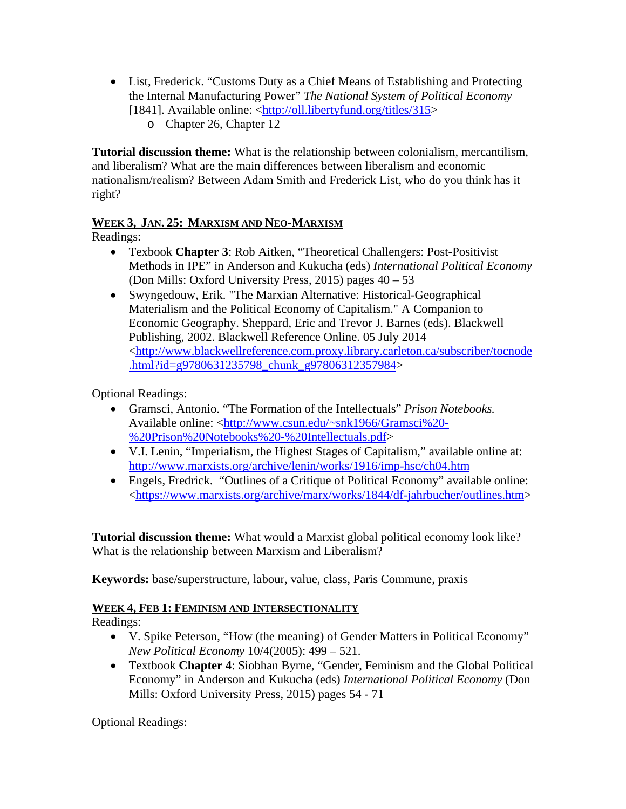- List, Frederick. "Customs Duty as a Chief Means of Establishing and Protecting the Internal Manufacturing Power" *The National System of Political Economy*  [1841]. Available online: <http://oll.libertyfund.org/titles/315>
	- o Chapter 26, Chapter 12

**Tutorial discussion theme:** What is the relationship between colonialism, mercantilism, and liberalism? What are the main differences between liberalism and economic nationalism/realism? Between Adam Smith and Frederick List, who do you think has it right?

## **WEEK 3, JAN. 25: MARXISM AND NEO-MARXISM**

Readings:

- Texbook **Chapter 3**: Rob Aitken, "Theoretical Challengers: Post-Positivist Methods in IPE" in Anderson and Kukucha (eds) *International Political Economy*  (Don Mills: Oxford University Press, 2015) pages 40 – 53
- Swyngedouw, Erik. "The Marxian Alternative: Historical-Geographical Materialism and the Political Economy of Capitalism." A Companion to Economic Geography. Sheppard, Eric and Trevor J. Barnes (eds). Blackwell Publishing, 2002. Blackwell Reference Online. 05 July 2014 <http://www.blackwellreference.com.proxy.library.carleton.ca/subscriber/tocnode .html?id=g9780631235798\_chunk\_g97806312357984>

Optional Readings:

- Gramsci, Antonio. "The Formation of the Intellectuals" *Prison Notebooks.*  Available online: <http://www.csun.edu/~snk1966/Gramsci%20- %20Prison%20Notebooks%20-%20Intellectuals.pdf>
- V.I. Lenin, "Imperialism, the Highest Stages of Capitalism," available online at: http://www.marxists.org/archive/lenin/works/1916/imp-hsc/ch04.htm
- Engels, Fredrick. "Outlines of a Critique of Political Economy" available online: <https://www.marxists.org/archive/marx/works/1844/df-jahrbucher/outlines.htm>

**Tutorial discussion theme:** What would a Marxist global political economy look like? What is the relationship between Marxism and Liberalism?

**Keywords:** base/superstructure, labour, value, class, Paris Commune, praxis

## **WEEK 4, FEB 1: FEMINISM AND INTERSECTIONALITY**

Readings:

- V. Spike Peterson, "How (the meaning) of Gender Matters in Political Economy" *New Political Economy* 10/4(2005): 499 – 521.
- Textbook **Chapter 4**: Siobhan Byrne, "Gender, Feminism and the Global Political Economy" in Anderson and Kukucha (eds) *International Political Economy* (Don Mills: Oxford University Press, 2015) pages 54 - 71

Optional Readings: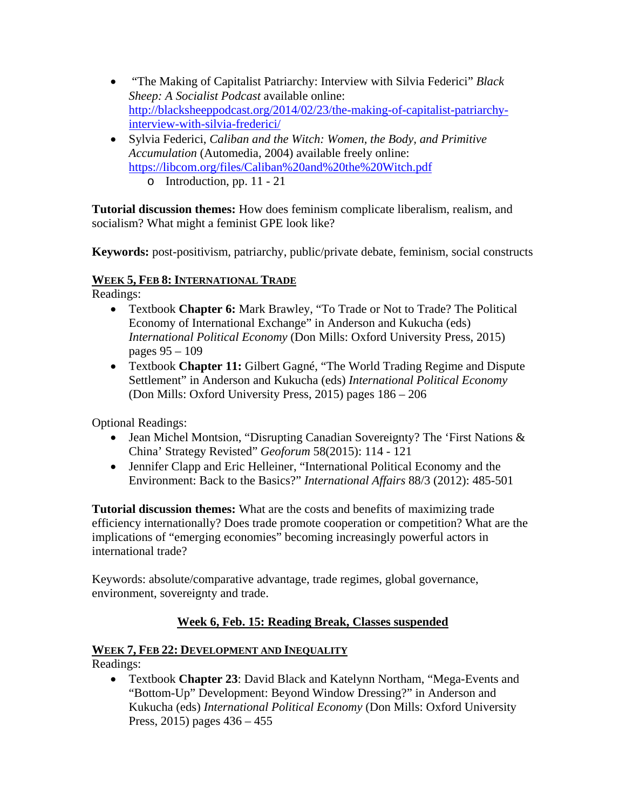- "The Making of Capitalist Patriarchy: Interview with Silvia Federici" *Black Sheep: A Socialist Podcast* available online: http://blacksheeppodcast.org/2014/02/23/the-making-of-capitalist-patriarchyinterview-with-silvia-frederici/
- Sylvia Federici, *Caliban and the Witch: Women, the Body, and Primitive Accumulation* (Automedia, 2004) available freely online: https://libcom.org/files/Caliban%20and%20the%20Witch.pdf
	- o Introduction, pp. 11 21

**Tutorial discussion themes:** How does feminism complicate liberalism, realism, and socialism? What might a feminist GPE look like?

**Keywords:** post-positivism, patriarchy, public/private debate, feminism, social constructs

## **WEEK 5, FEB 8: INTERNATIONAL TRADE**

Readings:

- Textbook **Chapter 6:** Mark Brawley, "To Trade or Not to Trade? The Political Economy of International Exchange" in Anderson and Kukucha (eds) *International Political Economy* (Don Mills: Oxford University Press, 2015) pages 95 – 109
- Textbook **Chapter 11:** Gilbert Gagné, "The World Trading Regime and Dispute Settlement" in Anderson and Kukucha (eds) *International Political Economy*  (Don Mills: Oxford University Press, 2015) pages 186 – 206

Optional Readings:

- Jean Michel Montsion, "Disrupting Canadian Sovereignty? The 'First Nations & China' Strategy Revisted" *Geoforum* 58(2015): 114 - 121
- Jennifer Clapp and Eric Helleiner, "International Political Economy and the Environment: Back to the Basics?" *International Affairs* 88/3 (2012): 485-501

**Tutorial discussion themes:** What are the costs and benefits of maximizing trade efficiency internationally? Does trade promote cooperation or competition? What are the implications of "emerging economies" becoming increasingly powerful actors in international trade?

Keywords: absolute/comparative advantage, trade regimes, global governance, environment, sovereignty and trade.

## **Week 6, Feb. 15: Reading Break, Classes suspended**

## **WEEK 7, FEB 22: DEVELOPMENT AND INEQUALITY**

Readings:

 Textbook **Chapter 23**: David Black and Katelynn Northam, "Mega-Events and "Bottom-Up" Development: Beyond Window Dressing?" in Anderson and Kukucha (eds) *International Political Economy* (Don Mills: Oxford University Press, 2015) pages 436 – 455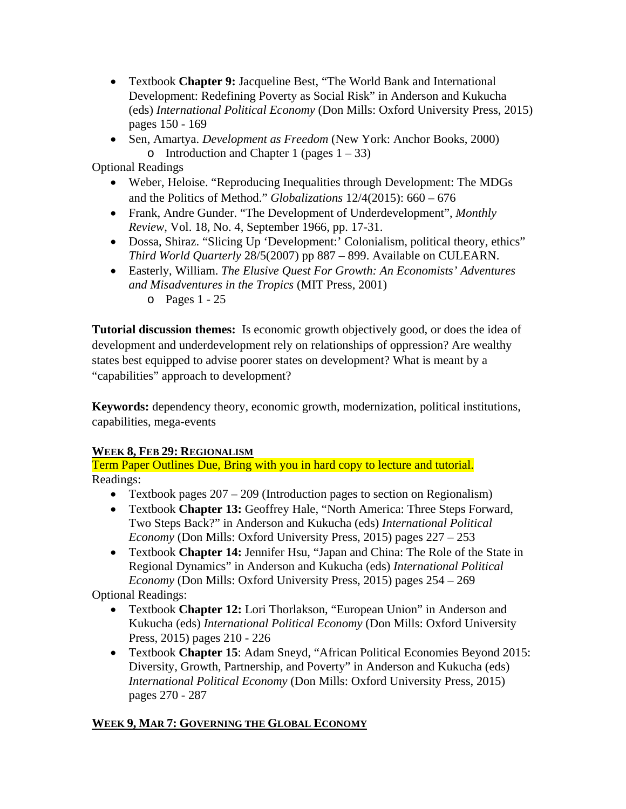- Textbook **Chapter 9:** Jacqueline Best, "The World Bank and International Development: Redefining Poverty as Social Risk" in Anderson and Kukucha (eds) *International Political Economy* (Don Mills: Oxford University Press, 2015) pages 150 - 169
- Sen, Amartya. *Development as Freedom* (New York: Anchor Books, 2000) o Introduction and Chapter 1 (pages  $1 - 33$ )

Optional Readings

- Weber, Heloise. "Reproducing Inequalities through Development: The MDGs and the Politics of Method." *Globalizations* 12/4(2015): 660 – 676
- Frank, Andre Gunder. "The Development of Underdevelopment", *Monthly Review*, Vol. 18, No. 4, September 1966, pp. 17-31.
- Dossa, Shiraz. "Slicing Up 'Development:' Colonialism, political theory, ethics" *Third World Quarterly* 28/5(2007) pp 887 – 899. Available on CULEARN.
- Easterly, William. *The Elusive Quest For Growth: An Economists' Adventures and Misadventures in the Tropics* (MIT Press, 2001)

o Pages 1 - 25

**Tutorial discussion themes:** Is economic growth objectively good, or does the idea of development and underdevelopment rely on relationships of oppression? Are wealthy states best equipped to advise poorer states on development? What is meant by a "capabilities" approach to development?

**Keywords:** dependency theory, economic growth, modernization, political institutions, capabilities, mega-events

## **WEEK 8, FEB 29: REGIONALISM**

Term Paper Outlines Due, Bring with you in hard copy to lecture and tutorial. Readings:

- Textbook pages  $207 209$  (Introduction pages to section on Regionalism)
- Textbook **Chapter 13:** Geoffrey Hale, "North America: Three Steps Forward, Two Steps Back?" in Anderson and Kukucha (eds) *International Political Economy* (Don Mills: Oxford University Press, 2015) pages 227 – 253
- Textbook **Chapter 14:** Jennifer Hsu, "Japan and China: The Role of the State in Regional Dynamics" in Anderson and Kukucha (eds) *International Political Economy* (Don Mills: Oxford University Press, 2015) pages 254 – 269

Optional Readings:

- Textbook **Chapter 12:** Lori Thorlakson, "European Union" in Anderson and Kukucha (eds) *International Political Economy* (Don Mills: Oxford University Press, 2015) pages 210 - 226
- Textbook **Chapter 15**: Adam Sneyd, "African Political Economies Beyond 2015: Diversity, Growth, Partnership, and Poverty" in Anderson and Kukucha (eds) *International Political Economy* (Don Mills: Oxford University Press, 2015) pages 270 - 287

## **WEEK 9, MAR 7: GOVERNING THE GLOBAL ECONOMY**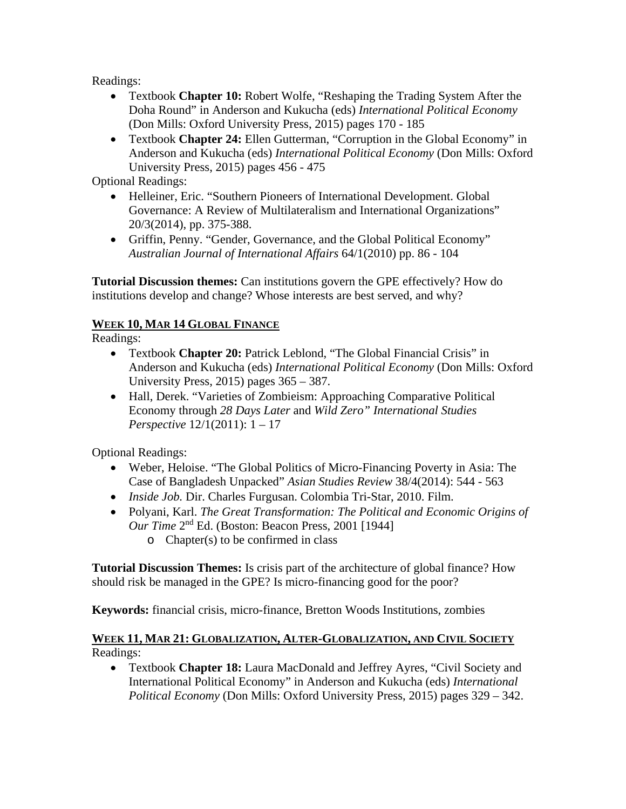Readings:

- Textbook **Chapter 10:** Robert Wolfe, "Reshaping the Trading System After the Doha Round" in Anderson and Kukucha (eds) *International Political Economy*  (Don Mills: Oxford University Press, 2015) pages 170 - 185
- Textbook **Chapter 24:** Ellen Gutterman, "Corruption in the Global Economy" in Anderson and Kukucha (eds) *International Political Economy* (Don Mills: Oxford University Press, 2015) pages 456 - 475

Optional Readings:

- Helleiner, Eric. "Southern Pioneers of International Development. Global Governance: A Review of Multilateralism and International Organizations" 20/3(2014), pp. 375-388.
- Griffin, Penny. "Gender, Governance, and the Global Political Economy" *Australian Journal of International Affairs* 64/1(2010) pp. 86 - 104

**Tutorial Discussion themes:** Can institutions govern the GPE effectively? How do institutions develop and change? Whose interests are best served, and why?

# **WEEK 10, MAR 14 GLOBAL FINANCE**

Readings:

- Textbook **Chapter 20:** Patrick Leblond, "The Global Financial Crisis" in Anderson and Kukucha (eds) *International Political Economy* (Don Mills: Oxford University Press, 2015) pages 365 – 387.
- Hall, Derek. "Varieties of Zombieism: Approaching Comparative Political Economy through *28 Days Later* and *Wild Zero" International Studies Perspective* 12/1(2011): 1 – 17

Optional Readings:

- Weber, Heloise. "The Global Politics of Micro-Financing Poverty in Asia: The Case of Bangladesh Unpacked" *Asian Studies Review* 38/4(2014): 544 - 563
- *Inside Job.* Dir. Charles Furgusan. Colombia Tri-Star, 2010. Film.
- Polyani, Karl. *The Great Transformation: The Political and Economic Origins of Our Time* 2nd Ed. (Boston: Beacon Press, 2001 [1944]
	- o Chapter(s) to be confirmed in class

**Tutorial Discussion Themes:** Is crisis part of the architecture of global finance? How should risk be managed in the GPE? Is micro-financing good for the poor?

**Keywords:** financial crisis, micro-finance, Bretton Woods Institutions, zombies

## **WEEK 11, MAR 21: GLOBALIZATION, ALTER-GLOBALIZATION, AND CIVIL SOCIETY** Readings:

 Textbook **Chapter 18:** Laura MacDonald and Jeffrey Ayres, "Civil Society and International Political Economy" in Anderson and Kukucha (eds) *International Political Economy* (Don Mills: Oxford University Press, 2015) pages 329 – 342.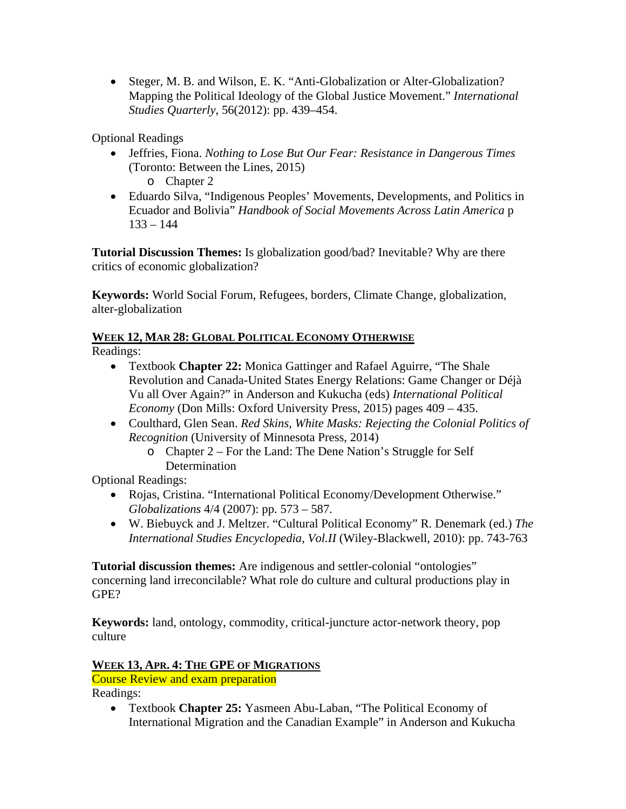Steger, M. B. and Wilson, E. K. "Anti-Globalization or Alter-Globalization? Mapping the Political Ideology of the Global Justice Movement." *International Studies Quarterly*, 56(2012): pp. 439–454.

Optional Readings

 Jeffries, Fiona. *Nothing to Lose But Our Fear: Resistance in Dangerous Times* (Toronto: Between the Lines, 2015)

o Chapter 2

 Eduardo Silva, "Indigenous Peoples' Movements, Developments, and Politics in Ecuador and Bolivia" *Handbook of Social Movements Across Latin America* p  $133 - 144$ 

**Tutorial Discussion Themes:** Is globalization good/bad? Inevitable? Why are there critics of economic globalization?

**Keywords:** World Social Forum, Refugees, borders, Climate Change, globalization, alter-globalization

# **WEEK 12, MAR 28: GLOBAL POLITICAL ECONOMY OTHERWISE**

Readings:

- Textbook **Chapter 22:** Monica Gattinger and Rafael Aguirre, "The Shale Revolution and Canada-United States Energy Relations: Game Changer or Déjà Vu all Over Again?" in Anderson and Kukucha (eds) *International Political Economy* (Don Mills: Oxford University Press, 2015) pages 409 – 435.
- Coulthard, Glen Sean. *Red Skins, White Masks: Rejecting the Colonial Politics of Recognition* (University of Minnesota Press, 2014)
	- o Chapter 2 For the Land: The Dene Nation's Struggle for Self Determination

Optional Readings:

- Rojas, Cristina. "International Political Economy/Development Otherwise." *Globalizations* 4/4 (2007): pp. 573 – 587.
- W. Biebuyck and J. Meltzer. "Cultural Political Economy" R. Denemark (ed.) *The International Studies Encyclopedia, Vol.II* (Wiley-Blackwell, 2010): pp. 743-763

**Tutorial discussion themes:** Are indigenous and settler-colonial "ontologies" concerning land irreconcilable? What role do culture and cultural productions play in GPE?

**Keywords:** land, ontology, commodity, critical-juncture actor-network theory, pop culture

# **WEEK 13, APR. 4: THE GPE OF MIGRATIONS**

Course Review and exam preparation

Readings:

 Textbook **Chapter 25:** Yasmeen Abu-Laban, "The Political Economy of International Migration and the Canadian Example" in Anderson and Kukucha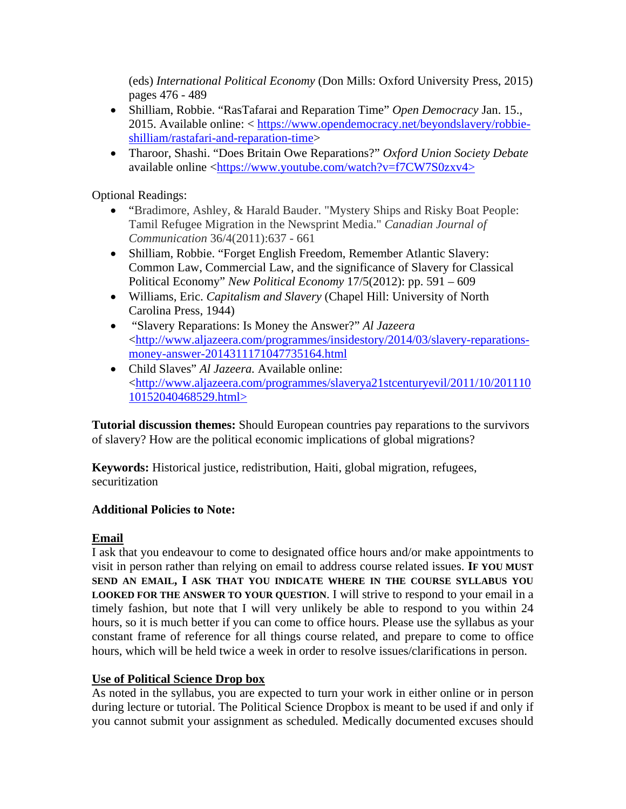(eds) *International Political Economy* (Don Mills: Oxford University Press, 2015) pages 476 - 489

- Shilliam, Robbie. "RasTafarai and Reparation Time" *Open Democracy* Jan. 15., 2015. Available online: < https://www.opendemocracy.net/beyondslavery/robbieshilliam/rastafari-and-reparation-time>
- Tharoor, Shashi. "Does Britain Owe Reparations?" *Oxford Union Society Debate*  available online <https://www.youtube.com/watch?v=f7CW7S0zxv4>

Optional Readings:

- "Bradimore, Ashley, & Harald Bauder. "Mystery Ships and Risky Boat People: Tamil Refugee Migration in the Newsprint Media." *Canadian Journal of Communication* 36/4(2011):637 - 661
- Shilliam, Robbie. "Forget English Freedom, Remember Atlantic Slavery: Common Law, Commercial Law, and the significance of Slavery for Classical Political Economy" *New Political Economy* 17/5(2012): pp. 591 – 609
- Williams, Eric. *Capitalism and Slavery* (Chapel Hill: University of North Carolina Press, 1944)
- "Slavery Reparations: Is Money the Answer?" *Al Jazeera* <http://www.aljazeera.com/programmes/insidestory/2014/03/slavery-reparationsmoney-answer-2014311171047735164.html
- Child Slaves" *Al Jazeera.* Available online: <http://www.aljazeera.com/programmes/slaverya21stcenturyevil/2011/10/201110 10152040468529.html>

**Tutorial discussion themes:** Should European countries pay reparations to the survivors of slavery? How are the political economic implications of global migrations?

**Keywords:** Historical justice, redistribution, Haiti, global migration, refugees, securitization

## **Additional Policies to Note:**

## **Email**

I ask that you endeavour to come to designated office hours and/or make appointments to visit in person rather than relying on email to address course related issues. **IF YOU MUST SEND AN EMAIL, I ASK THAT YOU INDICATE WHERE IN THE COURSE SYLLABUS YOU LOOKED FOR THE ANSWER TO YOUR QUESTION**. I will strive to respond to your email in a timely fashion, but note that I will very unlikely be able to respond to you within 24 hours, so it is much better if you can come to office hours. Please use the syllabus as your constant frame of reference for all things course related, and prepare to come to office hours, which will be held twice a week in order to resolve issues/clarifications in person.

## **Use of Political Science Drop box**

As noted in the syllabus, you are expected to turn your work in either online or in person during lecture or tutorial. The Political Science Dropbox is meant to be used if and only if you cannot submit your assignment as scheduled. Medically documented excuses should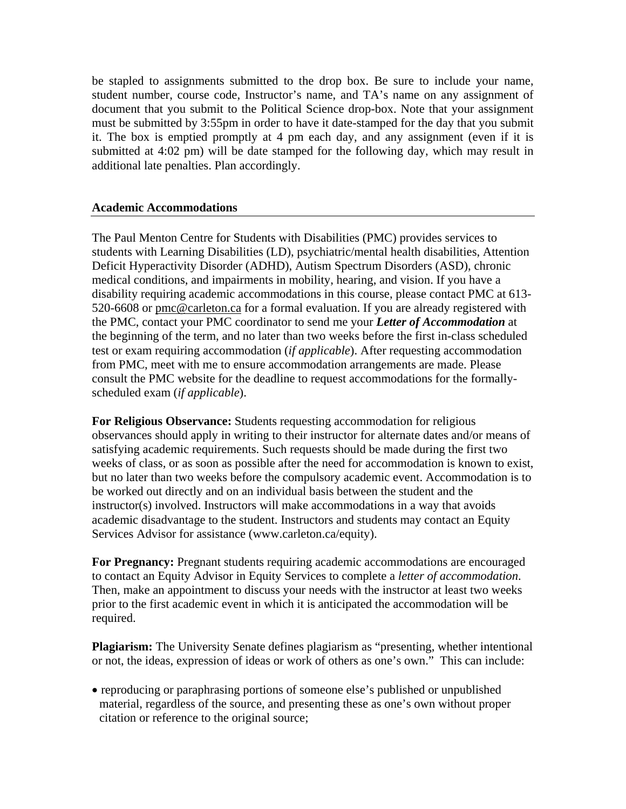be stapled to assignments submitted to the drop box. Be sure to include your name, student number, course code, Instructor's name, and TA's name on any assignment of document that you submit to the Political Science drop-box. Note that your assignment must be submitted by 3:55pm in order to have it date-stamped for the day that you submit it. The box is emptied promptly at 4 pm each day, and any assignment (even if it is submitted at 4:02 pm) will be date stamped for the following day, which may result in additional late penalties. Plan accordingly.

#### **Academic Accommodations**

The Paul Menton Centre for Students with Disabilities (PMC) provides services to students with Learning Disabilities (LD), psychiatric/mental health disabilities, Attention Deficit Hyperactivity Disorder (ADHD), Autism Spectrum Disorders (ASD), chronic medical conditions, and impairments in mobility, hearing, and vision. If you have a disability requiring academic accommodations in this course, please contact PMC at 613- 520-6608 or pmc@carleton.ca for a formal evaluation. If you are already registered with the PMC, contact your PMC coordinator to send me your *Letter of Accommodation* at the beginning of the term, and no later than two weeks before the first in-class scheduled test or exam requiring accommodation (*if applicable*). After requesting accommodation from PMC, meet with me to ensure accommodation arrangements are made. Please consult the PMC website for the deadline to request accommodations for the formallyscheduled exam (*if applicable*).

**For Religious Observance:** Students requesting accommodation for religious observances should apply in writing to their instructor for alternate dates and/or means of satisfying academic requirements. Such requests should be made during the first two weeks of class, or as soon as possible after the need for accommodation is known to exist, but no later than two weeks before the compulsory academic event. Accommodation is to be worked out directly and on an individual basis between the student and the instructor(s) involved. Instructors will make accommodations in a way that avoids academic disadvantage to the student. Instructors and students may contact an Equity Services Advisor for assistance (www.carleton.ca/equity).

**For Pregnancy:** Pregnant students requiring academic accommodations are encouraged to contact an Equity Advisor in Equity Services to complete a *letter of accommodation*. Then, make an appointment to discuss your needs with the instructor at least two weeks prior to the first academic event in which it is anticipated the accommodation will be required.

**Plagiarism:** The University Senate defines plagiarism as "presenting, whether intentional or not, the ideas, expression of ideas or work of others as one's own." This can include:

• reproducing or paraphrasing portions of someone else's published or unpublished material, regardless of the source, and presenting these as one's own without proper citation or reference to the original source;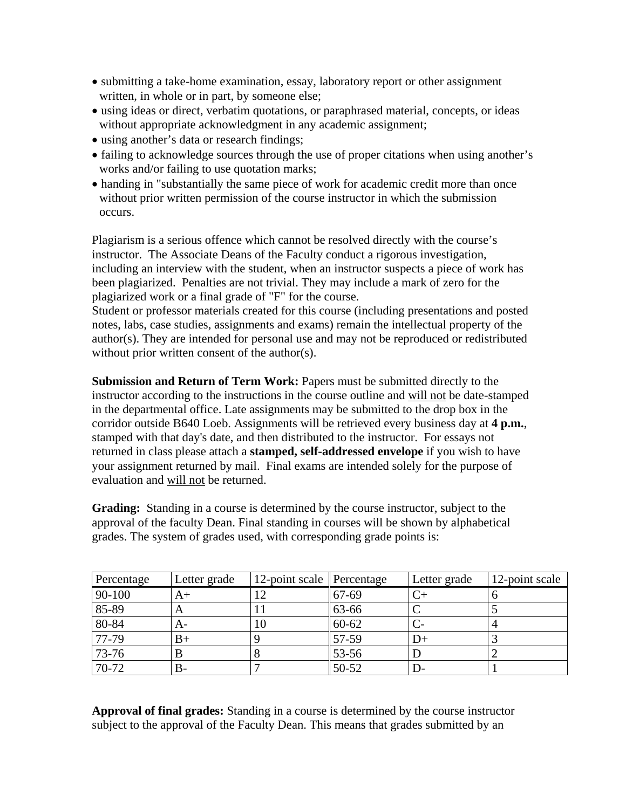- submitting a take-home examination, essay, laboratory report or other assignment written, in whole or in part, by someone else;
- using ideas or direct, verbatim quotations, or paraphrased material, concepts, or ideas without appropriate acknowledgment in any academic assignment;
- using another's data or research findings;
- failing to acknowledge sources through the use of proper citations when using another's works and/or failing to use quotation marks;
- handing in "substantially the same piece of work for academic credit more than once without prior written permission of the course instructor in which the submission occurs.

Plagiarism is a serious offence which cannot be resolved directly with the course's instructor. The Associate Deans of the Faculty conduct a rigorous investigation, including an interview with the student, when an instructor suspects a piece of work has been plagiarized. Penalties are not trivial. They may include a mark of zero for the plagiarized work or a final grade of "F" for the course.

Student or professor materials created for this course (including presentations and posted notes, labs, case studies, assignments and exams) remain the intellectual property of the author(s). They are intended for personal use and may not be reproduced or redistributed without prior written consent of the author(s).

**Submission and Return of Term Work:** Papers must be submitted directly to the instructor according to the instructions in the course outline and will not be date-stamped in the departmental office. Late assignments may be submitted to the drop box in the corridor outside B640 Loeb. Assignments will be retrieved every business day at **4 p.m.**, stamped with that day's date, and then distributed to the instructor. For essays not returned in class please attach a **stamped, self-addressed envelope** if you wish to have your assignment returned by mail. Final exams are intended solely for the purpose of evaluation and will not be returned.

**Grading:** Standing in a course is determined by the course instructor, subject to the approval of the faculty Dean. Final standing in courses will be shown by alphabetical grades. The system of grades used, with corresponding grade points is:

| Percentage | Letter grade | 12-point scale Percentage |           | Letter grade | 12-point scale |
|------------|--------------|---------------------------|-----------|--------------|----------------|
| 90-100     | A+           |                           | 67-69     |              |                |
| 85-89      | A            |                           | 63-66     |              |                |
| 80-84      | A-           | 10                        | $60 - 62$ |              |                |
| 77-79      | B+           |                           | 57-59     | $1+$         |                |
| 73-76      |              |                           | 53-56     |              |                |
| 70-72      | В-           |                           | $50 - 52$ | $\mathsf{D}$ |                |

**Approval of final grades:** Standing in a course is determined by the course instructor subject to the approval of the Faculty Dean. This means that grades submitted by an